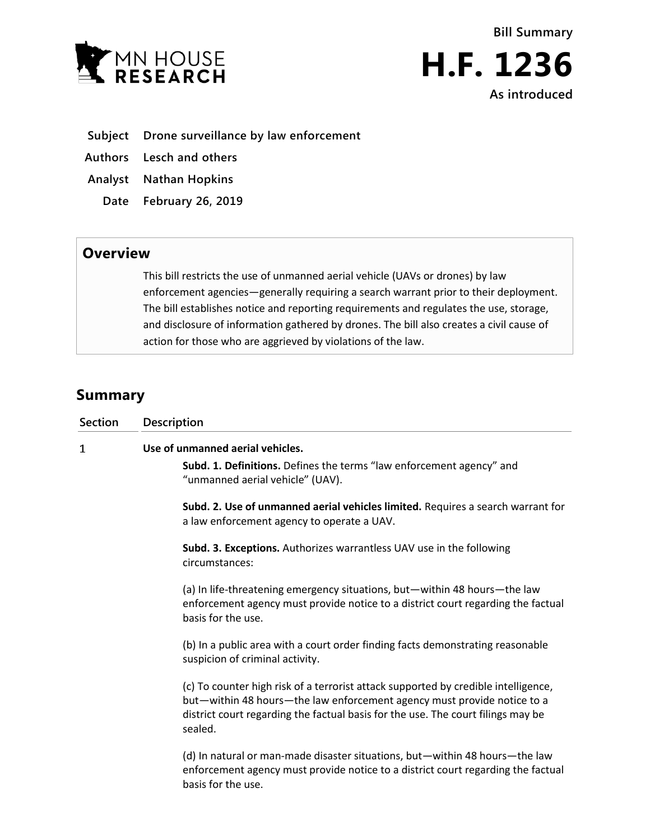



- **Subject Drone surveillance by law enforcement**
- **Authors Lesch and others**
- **Analyst Nathan Hopkins**
	- **Date February 26, 2019**

## **Overview**

This bill restricts the use of unmanned aerial vehicle (UAVs or drones) by law enforcement agencies—generally requiring a search warrant prior to their deployment. The bill establishes notice and reporting requirements and regulates the use, storage, and disclosure of information gathered by drones. The bill also creates a civil cause of action for those who are aggrieved by violations of the law.

## **Summary**

| <b>Section</b> | Description                                                                                                                                                                                                                                                                                                                                                                                                                                                                                                                                                                                                                                                                                                                                                                                                                                                                                                                                                                                                                                                                                                                                  |
|----------------|----------------------------------------------------------------------------------------------------------------------------------------------------------------------------------------------------------------------------------------------------------------------------------------------------------------------------------------------------------------------------------------------------------------------------------------------------------------------------------------------------------------------------------------------------------------------------------------------------------------------------------------------------------------------------------------------------------------------------------------------------------------------------------------------------------------------------------------------------------------------------------------------------------------------------------------------------------------------------------------------------------------------------------------------------------------------------------------------------------------------------------------------|
| 1              | Use of unmanned aerial vehicles.<br>Subd. 1. Definitions. Defines the terms "law enforcement agency" and<br>"unmanned aerial vehicle" (UAV).<br>Subd. 2. Use of unmanned aerial vehicles limited. Requires a search warrant for<br>a law enforcement agency to operate a UAV.<br>Subd. 3. Exceptions. Authorizes warrantless UAV use in the following<br>circumstances:<br>(a) In life-threatening emergency situations, but-within 48 hours-the law<br>enforcement agency must provide notice to a district court regarding the factual<br>basis for the use.<br>(b) In a public area with a court order finding facts demonstrating reasonable<br>suspicion of criminal activity.<br>(c) To counter high risk of a terrorist attack supported by credible intelligence,<br>but-within 48 hours-the law enforcement agency must provide notice to a<br>district court regarding the factual basis for the use. The court filings may be<br>sealed.<br>(d) In natural or man-made disaster situations, but-within 48 hours-the law<br>enforcement agency must provide notice to a district court regarding the factual<br>basis for the use. |
|                |                                                                                                                                                                                                                                                                                                                                                                                                                                                                                                                                                                                                                                                                                                                                                                                                                                                                                                                                                                                                                                                                                                                                              |